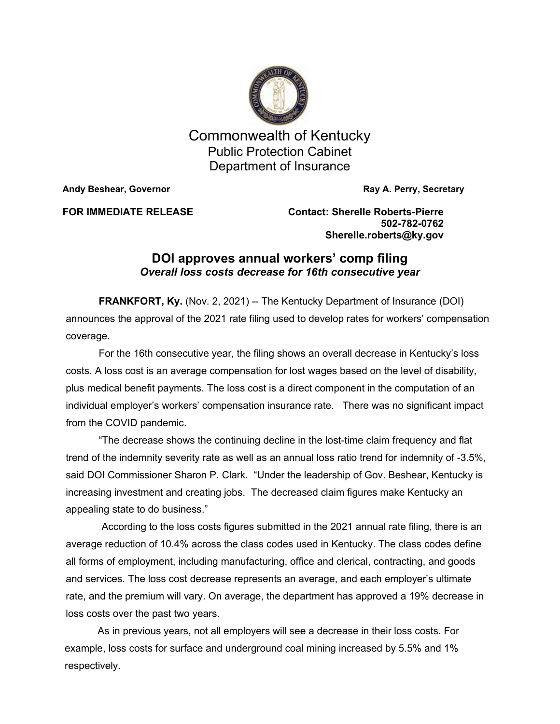

Commonwealth of Kentucky Public Protection Cabinet Department of Insurance

**Andy Beshear, Governor Community Community Community Ray A. Perry, Secretary** 

**FOR IMMEDIATE RELEASE Contact: Sherelle Roberts-Pierre 502-782-0762 Sherelle.roberts@ky.gov**

## **DOI approves annual workers' comp filing** *Overall loss costs decrease for 16th consecutive year*

**FRANKFORT, Ky.** (Nov. 2, 2021) -- The Kentucky Department of Insurance (DOI) announces the approval of the 2021 rate filing used to develop rates for workers' compensation coverage.

For the 16th consecutive year, the filing shows an overall decrease in Kentucky's loss costs. A loss cost is an average compensation for lost wages based on the level of disability, plus medical benefit payments. The loss cost is a direct component in the computation of an individual employer's workers' compensation insurance rate. There was no significant impact from the COVID pandemic.

"The decrease shows the continuing decline in the lost-time claim frequency and flat trend of the indemnity severity rate as well as an annual loss ratio trend for indemnity of -3.5%, said DOI Commissioner Sharon P. Clark. "Under the leadership of Gov. Beshear, Kentucky is increasing investment and creating jobs. The decreased claim figures make Kentucky an appealing state to do business."

According to the loss costs figures submitted in the 2021 annual rate filing, there is an average reduction of 10.4% across the class codes used in Kentucky. The class codes define all forms of employment, including manufacturing, office and clerical, contracting, and goods and services. The loss cost decrease represents an average, and each employer's ultimate rate, and the premium will vary. On average, the department has approved a 19% decrease in loss costs over the past two years.

As in previous years, not all employers will see a decrease in their loss costs. For example, loss costs for surface and underground coal mining increased by 5.5% and 1% respectively.